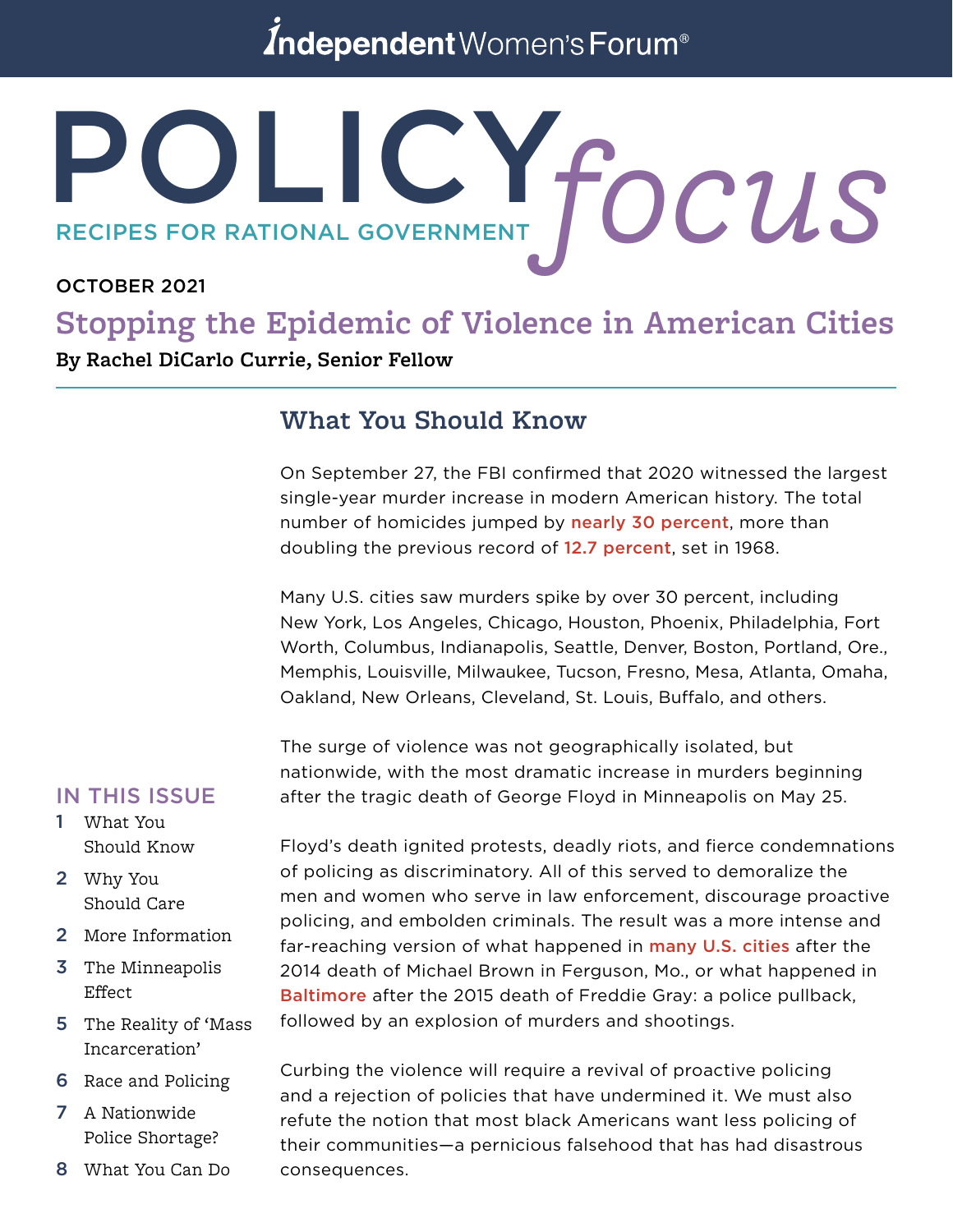## Independent Women's Forum<sup>®</sup>

# POLICY. RECIPES FOR RATIONAL GOVERNMENT **focus**

#### OCTOBER 2021

## **Stopping the Epidemic of Violence in American Cities**

**By Rachel DiCarlo Currie, Senior Fellow**

#### **What You Should Know**

On September 27, the FBI confirmed that 2020 witnessed the largest single-year murder increase in modern American history. The total number of homicides jumped b[y](https://www.fbi.gov/news/pressrel/press-releases/fbi-releases-2020-crime-statistics) [nearly 30 p](https://www.fbi.gov/news/pressrel/press-releases/fbi-releases-2020-crime-statistics)ercent, more than doubling the previous record of [12.7 p](https://www.disastercenter.com/crime/uscrime.htm)ercent, set in 1968.

Many U.S. cities saw murders spike by over 30 percent, including New York, Los Angeles, Chicago, Houston, Phoenix, Philadelphia, Fort Worth, Columbus, Indianapolis, Seattle, Denver, Boston, Portland, Ore., Memphis, Louisville, Milwaukee, Tucson, Fresno, Mesa, Atlanta, Omaha, Oakland, New Orleans, Cleveland, St. Louis, Buffalo, and others.

The surge of violence was not geographically isolated, but nationwide, with the most dramatic increase in murders beginning after the tragic death of George Floyd in Minneapolis on May 25.

#### IN THIS ISSUE

- 1 What You Should Know
- 2 Why You Should Care
- 2 More Information
- 3 The Minneapolis Effect
- 5 The Reality of 'Mass Incarceration'
- 6 Race and Policing
- 7 A Nationwide Police Shortage?
- 8 What You Can Do

Floyd's death ignited protests, deadly riots, and fierce condemnations of policing as discriminatory. All of this served to demoralize the men and women who serve in law enforcement, discourage proactive policing, and embolden criminals. The result was a more intense and far-reaching version of what happened in **[many U.S. cities](https://www.wsj.com/articles/the-new-nationwide-crime-wave-1432938425)** after the 2014 death of Michael Brown in Ferguson, Mo., or what happened in [Baltimore](https://www.nytimes.com/2019/03/12/magazine/baltimore-tragedy-crime.html) after the 2015 death of Freddie Gray: a police pullback, followed by an explosion of murders and shootings.

Curbing the violence will require a revival of proactive policing and a rejection of policies that have undermined it. We must also refute the notion that most black Americans want less policing of their communities—a pernicious falsehood that has had disastrous consequences.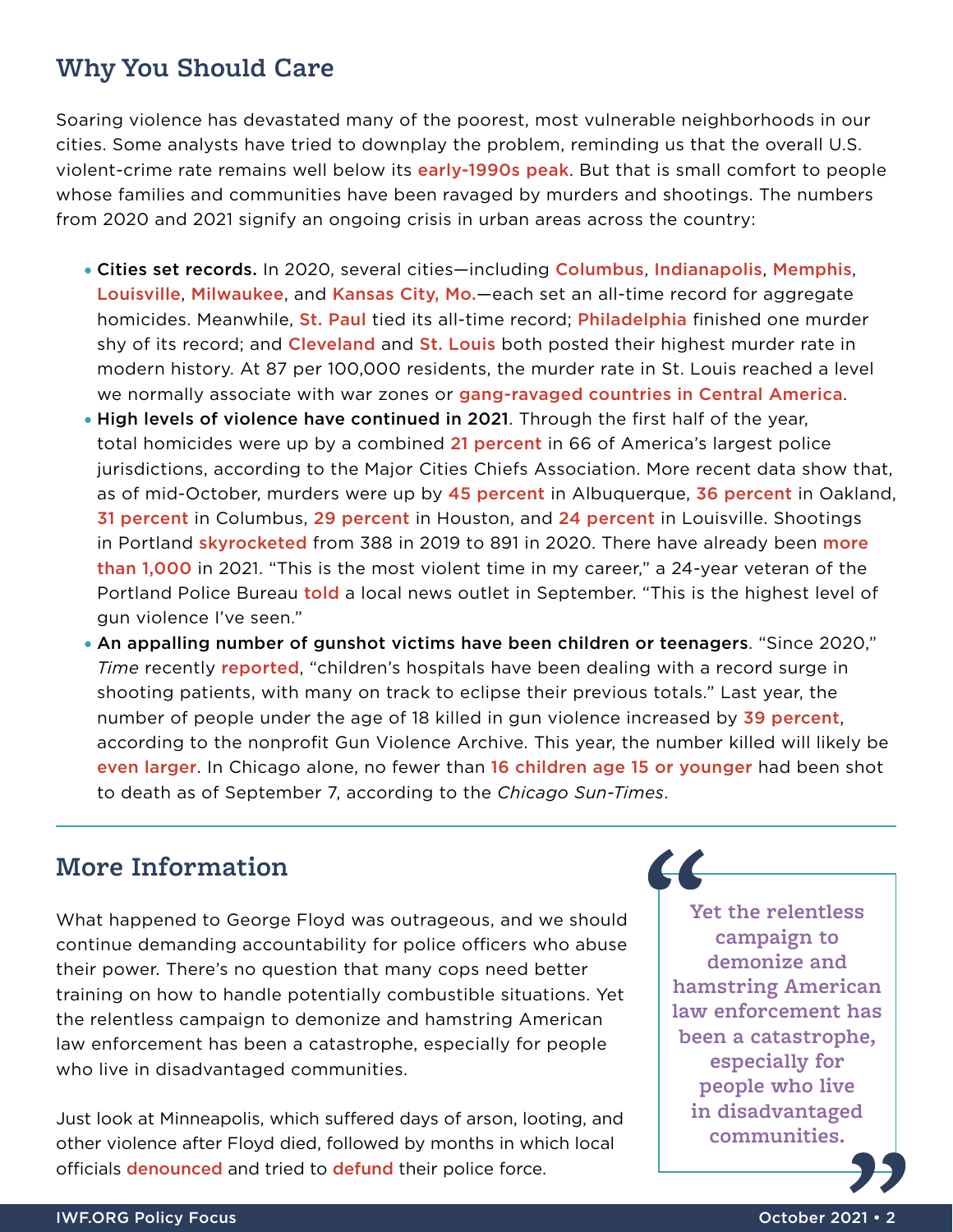#### **Why You Should Care**

Soaring violence has devastated many of the poorest, most vulnerable neighborhoods in our cities. Some analysts have tried to downplay the problem, reminding us that the overall U.S. violent-crime rate remains well below its **[early-1990s peak](https://www.disastercenter.com/crime/uscrime.htm)**. But that is small comfort to people whose families and communities have been ravaged by murders and shootings. The numbers from 2020 and 2021 signify an ongoing crisis in urban areas across the country:

- Cities set records. In 2020, several cities—includin[g](https://abc6onyourside.com/news/local/columbus-breaks-homicide-record-in-2020-as-loved-ones-mourn-their-losses) [Columbus](https://abc6onyourside.com/news/local/columbus-breaks-homicide-record-in-2020-as-loved-ones-mourn-their-losses), [Indianapolis](https://www.wthr.com/article/news/crime/indianapolis-leaders-outline-plans-to-prevent-and-reduce-violent-crime/531-f6a724d2-48e3-4886-b5b8-6ba2177806ec), [Memphis](https://www.wreg.com/news/city-of-memphis-ends-2020-with-record-number-of-homicides/)[,](https://www.courier-journal.com/story/news/crime/2021/01/01/louisville-violence-173-homicides-and-few-answers-record-year/6540016002/) [Louisville](https://www.courier-journal.com/story/news/crime/2021/01/01/louisville-violence-173-homicides-and-few-answers-record-year/6540016002/), [Milwaukee](https://www.jsonline.com/story/news/2021/01/01/milwaukees-historic-year-violence-ends-189-homicide-victims/4073606001/), and [Kansas City, Mo.](https://www.kctv5.com/news/comparing-kansas-city-s-homicide-rate-to-the-rest-of-the-country/article_5628b442-4ae4-11eb-8c5d-cb24ad9be115.html)—each set an all-time record for aggregate homicides. Meanwhile, [St. Paul](https://www.twincities.com/2021/01/02/in-heartbreaking-year-34-homicides-in-st-paul-match-most-on-record-in-the-city/) tied its all-time record; [Philadelphia](https://www.inquirer.com/news/philadelphia-gun-violence-homicides-shootings-pandemic-2020-20210101.html) finished one murder shy of its record; and [Cleveland](https://www.cleveland.com/metro/2021/01/its-like-war-numbers-cleveland-endures-worst-homicide-rate-in-recent-history-in-2020.html) and [St. Louis](https://www.stltoday.com/news/local/crime-and-courts/st-louis-homicide-rate-in-2020-highest-in-50-years-with-262-killings/article_b3c323a7-bc38-55bc-812b-08990b0eb289.html#:~:text=Louis) both posted their highest murder rate in modern history. At 87 per 100,000 residents, the murder rate in St. Louis reached a level we normally associate with war zones or [gang-ravaged countries in Central America](https://insightcrime.org/news/brief/honduras-murder-rate-set-to-soar-to-86-per-100000/).
- High levels of violence have continued in 2021. Through the first half of the year, total homicides were up by a combined [21 p](https://majorcitieschiefs.com/wp-content/uploads/2021/08/MCCA-Violent-Crime-Report-2021-and-2020-Midyear.pdf)ercent in 66 of America's largest police jurisdictions, according to the Major Cities Chiefs Association. More recent data show that, as of mid-October, murders were up by [45](https://www.cabq.gov/police/crime-statistics) percent in Albuquerque, [36](https://www.eastbaytimes.com/2021/10/07/15-year-old-girl-killed-in-oakland-equaling-2020-homicide-total-of-109/) percent in Oakland, [31](https://www.eastbaytimes.com/2021/10/07/15-year-old-girl-killed-in-oakland-equaling-2020-homicide-total-of-109/) percent in Columbus, [29 p](https://www.fox26houston.com/news/deadly-weekend-in-houston-leaves-11-people-dead-13-injured)ercent in Houston, and [24](https://spectrumnews1.com/ky/louisville/news/2021/10/13/louisville-public-safety-town-hall-addresses-gun-violence) percent in Louisville. Shootings in Portlan[d](https://www.portlandoregon.gov/police/81203) **[skyrocketed](https://www.portlandoregon.gov/police/81203)** from 388 i[n](https://katu.com/news/local/portland-passes-grim-milestone-of-1000-shootings-in-2021) 2019 to 891 in 2020. There have already been more [than 1,000](https://katu.com/news/local/portland-passes-grim-milestone-of-1000-shootings-in-2021) in 2021. "This is the most violent time in my career," a 24-year veteran of the Portland Police Bureau [told](https://www.kptv.com/news/most-violent-time-in-my-career-portland-police-says-we-could-surpass-record-number-of/article_8cf6d63e-1c26-11ec-86cf-73b14cada160.html) a local news outlet in September. "This is the highest level of gun violence I've seen."
- An appalling number of gunshot victims have been children or teenagers. "Since 2020," *Time* recently [reported](https://time.com/6095664/children-killed-in-shootings-pandemic/), "children's hospitals have been dealing with a record surge in shooting patients, with many on track to eclipse their previous totals." Last year, the number of people under the age of 18 killed in gun violence increased by [39 p](https://www.gunviolencearchive.org/past-tolls)ercent, according to the nonprofit Gun Violence Archive. This year, the number killed will likely b[e](https://www.gunviolencearchive.org/) [even larger](https://www.gunviolencearchive.org/). In Chicago alone, no fewer than [16 children age 15 or younger](https://chicago.suntimes.com/2021/9/7/22661103/chicago-more-murders-shootings-than-2019-violence-up-in-neighborhoods) had been shot to death as of September 7, according to the *Chicago Sun-Times*.

#### **More Information**

What happened to George Floyd was outrageous, and we should continue demanding accountability for police officers who abuse their power. There's no question that many cops need better training on how to handle potentially combustible situations. Yet the relentless campaign to demonize and hamstring American law enforcement has been a catastrophe, especially for people who live in disadvantaged communities.

Just look at Minneapolis, which suffered days of arson, looting, and other violence after Floyd died, followed by months in which local [o](https://www.washingtonpost.com/national/minneapolis-city-council-votes-to-cut-millions-from-police-budget-amid-record-crime-rates/2020/12/10/af3f14ee-3a8c-11eb-bc68-96af0daae728_story.html)fficials **[denounced](https://minnesota.cbslocal.com/2020/06/07/minneapolis-city-council-announces-intent-to-dismantle-mpd/)** and tried to **[defund](https://www.washingtonpost.com/national/minneapolis-city-council-votes-to-cut-millions-from-police-budget-amid-record-crime-rates/2020/12/10/af3f14ee-3a8c-11eb-bc68-96af0daae728_story.html)** their police force.

**Yet the relentless campaign to demonize and hamstring American law enforcement has been a catastrophe, especially for people who live in disadvantaged communities.**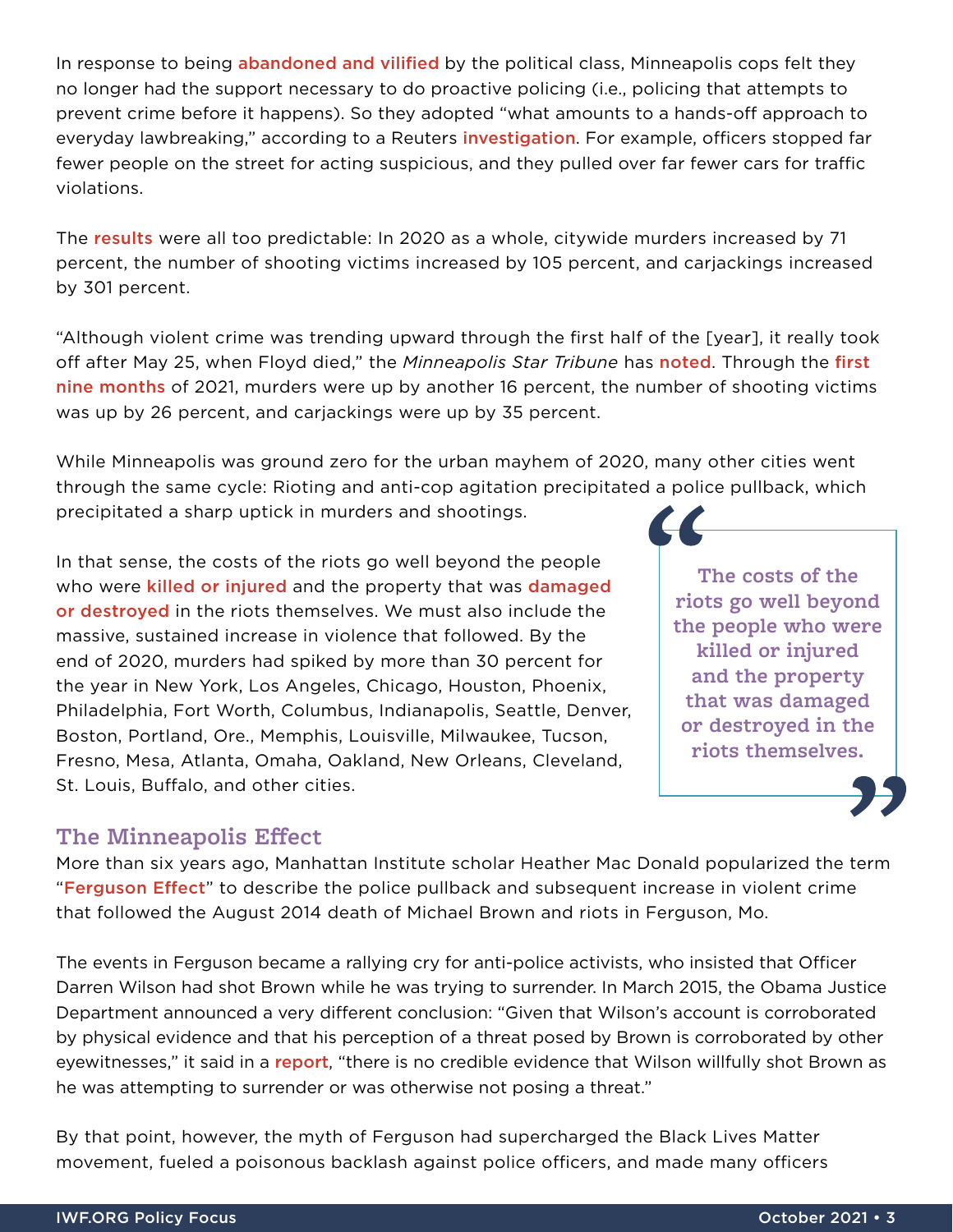In response to being **[abandoned and vilified](https://www.startribune.com/policing-and-mental-health-why-i-am-one-of-many-former-mpd-officers/600019128/?refresh=true)** by the political class, Minneapolis cops felt they no longer had the support necessary to do proactive policing (i.e., policing that attempts to prevent crime before it happens). So they adopted "what amounts to a hands-off approach to everyday lawbreaking," according to a Reuters *[investigation](https://www.reuters.com/investigates/special-report/usa-policing-minneapolis/)*. For example, officers stopped far fewer people on the street for acting suspicious, and they pulled over far fewer cars for traffic violations.

The [results](https://lims.minneapolismn.gov/Download/File/4863/CommunitySafetyUpdate.pdf) were all too predictable: In 2020 as a whole, citywide murders increased by 71 percent, the number of shooting victims increased by 105 percent, and carjackings increased by 301 percent.

"Although violent crime was trending upward through the first half of the [year], it really took off after May 25, when Floyd died," the *Minneapolis Star Tribune* has [noted](https://www.startribune.com/minneapolis-violent-crimes-soared-in-2020-amid-pandemic-protests/600019989/). Through the [first](https://kstp.com/news/surge-in-minneapolis-violence-includes-over-900-rounds-gunshots-fired-from-automatic-weapons-in-2021/6255659/)  [nine months](https://kstp.com/news/surge-in-minneapolis-violence-includes-over-900-rounds-gunshots-fired-from-automatic-weapons-in-2021/6255659/) of 2021, murders were up by another 16 percent, the number of shooting victims was up by 26 percent, and carjackings were up by 35 percent.

While Minneapolis was ground zero for the urban mayhem of 2020, many other cities went through the same cycle: Rioting and anti-cop agitation precipitated a police pullback, which precipitated a sharp uptick in murders and shootings.

In that sense, the costs of the riots go well beyond the people who were [killed or injured](https://www.foxnews.com/media/ny-times-ignores-18-deaths-2-billion-damage-gop-bills) and the property that was damaged [or destroyed](https://nypost.com/2020/09/16/riots-following-george-floyds-death-could-cost-up-to-2b/) in the riots themselves. We must also include the massive, sustained increase in violence that followed. By the end of 2020, murders had spiked by more than 30 percent for the year in New York, Los Angeles, Chicago, Houston, Phoenix, Philadelphia, Fort Worth, Columbus, Indianapolis, Seattle, Denver, Boston, Portland, Ore., Memphis, Louisville, Milwaukee, Tucson, Fresno, Mesa, Atlanta, Omaha, Oakland, New Orleans, Cleveland, St. Louis, Buffalo, and other cities.

#### **The Minneapolis Effect**

More than six years ago, Manhattan Institute scholar Heather Mac Donald popularized the term "[Ferguson Effect](https://www.wsj.com/articles/the-new-nationwide-crime-wave-1432938425)" to describe the police pullback and subsequent increase in violent crime that followed the August 2014 death of Michael Brown and riots in Ferguson, Mo.

The events in Ferguson became a rallying cry for anti-police activists, who insisted that Officer Darren Wilson had shot Brown while he was trying to surrender. In March 2015, the Obama Justice Department announced a very different conclusion: "Given that Wilson's account is corroborated by physical evidence and that his perception of a threat posed by Brown is corroborated by other eyewitnesses," it said in a [report](https://www.justice.gov/sites/default/files/opa/press-releases/attachments/2015/03/04/doj_report_on_shooting_of_michael_brown_1.pdf), "there is no credible evidence that Wilson willfully shot Brown as he was attempting to surrender or was otherwise not posing a threat."

By that point, however, the myth of Ferguson had supercharged the Black Lives Matter movement, fueled a poisonous backlash against police officers, and made many officers

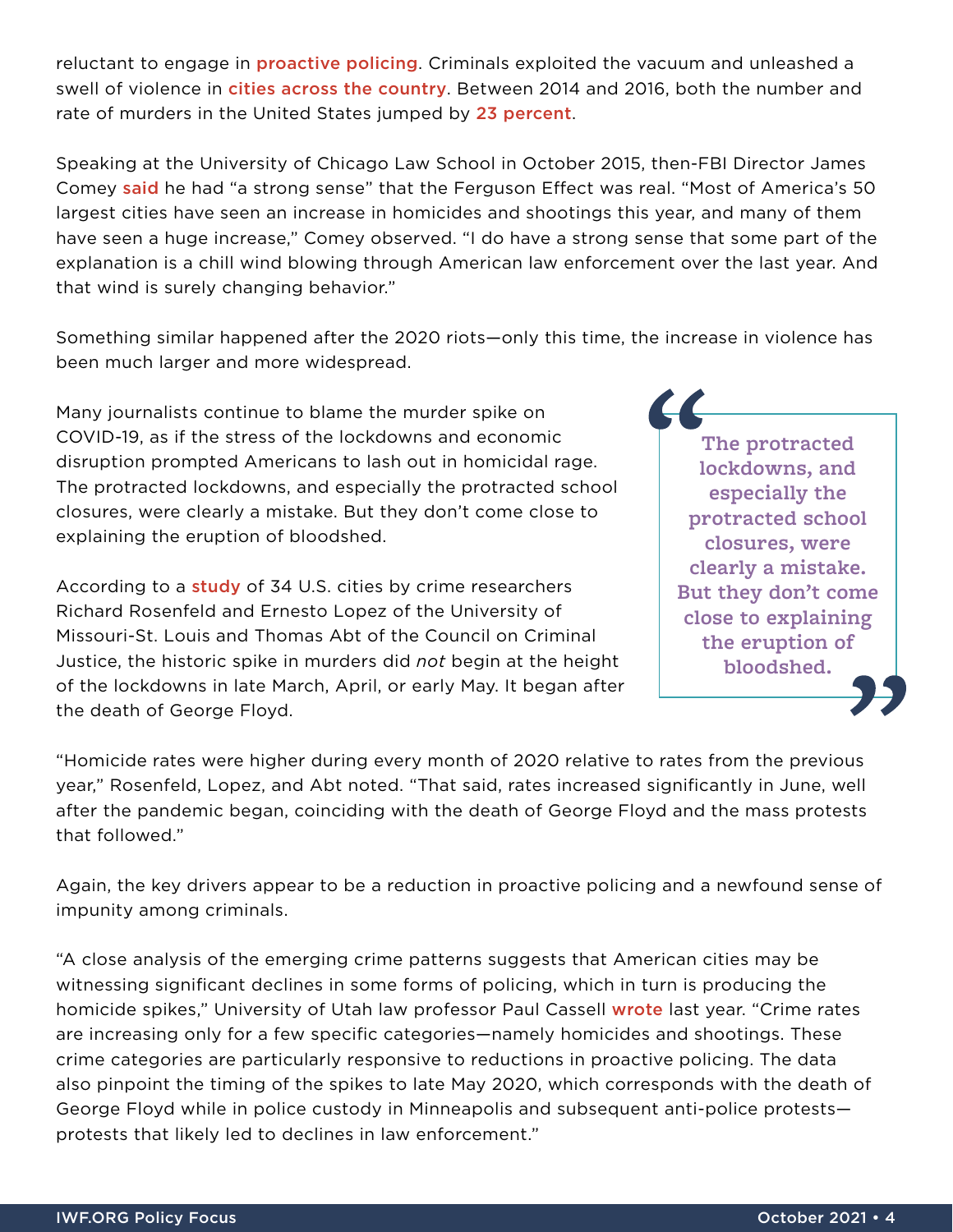reluctant to engage in **[proactive policing](https://www.city-journal.org/html/critics-proactive-policing-are-wrong-15625.html)**. Criminals exploited the vacuum and unleashed a swell of violence in *[cities across the country](https://fivethirtyeight.com/features/u-s-cities-experienced-another-big-rise-in-murder-in-2016/)*. Between 2014 and 2016, both the number and rate of murders in the United States jumped by [23](https://www.disastercenter.com/crime/uscrime.htm) percent.

Speaking at the University of Chicago Law School in October 2015, then-FBI Director James Come[y](https://www.fbi.gov/news/speeches/law-enforcement-and-the-communities-we-serve-bending-the-lines-toward-safety-and-justice) [said](https://www.fbi.gov/news/speeches/law-enforcement-and-the-communities-we-serve-bending-the-lines-toward-safety-and-justice) he had "a strong sense" that the Ferguson Effect was real. "Most of America's 50 largest cities have seen an increase in homicides and shootings this year, and many of them have seen a huge increase," Comey observed. "I do have a strong sense that some part of the explanation is a chill wind blowing through American law enforcement over the last year. And that wind is surely changing behavior."

Something similar happened after the 2020 riots—only this time, the increase in violence has been much larger and more widespread.

Many journalists continue to blame the murder spike on COVID-19, as if the stress of the lockdowns and economic disruption prompted Americans to lash out in homicidal rage. The protracted lockdowns, and especially the protracted school closures, were clearly a mistake. But they don't come close to explaining the eruption of bloodshed.

According to a **[study](https://build.neoninspire.com/counciloncj/wp-content/uploads/sites/96/2021/07/Year-End-Crime-Update_Designed.pdf)** of 34 U.S. cities by crime researchers Richard Rosenfeld and Ernesto Lopez of the University of Missouri-St. Louis and Thomas Abt of the Council on Criminal Justice, the historic spike in murders did *not* begin at the height of the lockdowns in late March, April, or early May. It began after the death of George Floyd.

**The protracted lockdowns, and especially the protracted school closures, were clearly a mistake. But they don't come close to explaining the eruption of bloodshed.**

"Homicide rates were higher during every month of 2020 relative to rates from the previous year," Rosenfeld, Lopez, and Abt noted. "That said, rates increased significantly in June, well after the pandemic began, coinciding with the death of George Floyd and the mass protests that followed."

Again, the key drivers appear to be a reduction in proactive policing and a newfound sense of impunity among criminals.

"A close analysis of the emerging crime patterns suggests that American cities may be witnessing significant declines in some forms of policing, which in turn is producing the homicide spikes," University of Utah law professor Paul Cassell [wrote](https://papers.ssrn.com/sol3/papers.cfm?abstract_id=3690473) last year. "Crime rates are increasing only for a few specific categories—namely homicides and shootings. These crime categories are particularly responsive to reductions in proactive policing. The data also pinpoint the timing of the spikes to late May 2020, which corresponds with the death of George Floyd while in police custody in Minneapolis and subsequent anti-police protests protests that likely led to declines in law enforcement."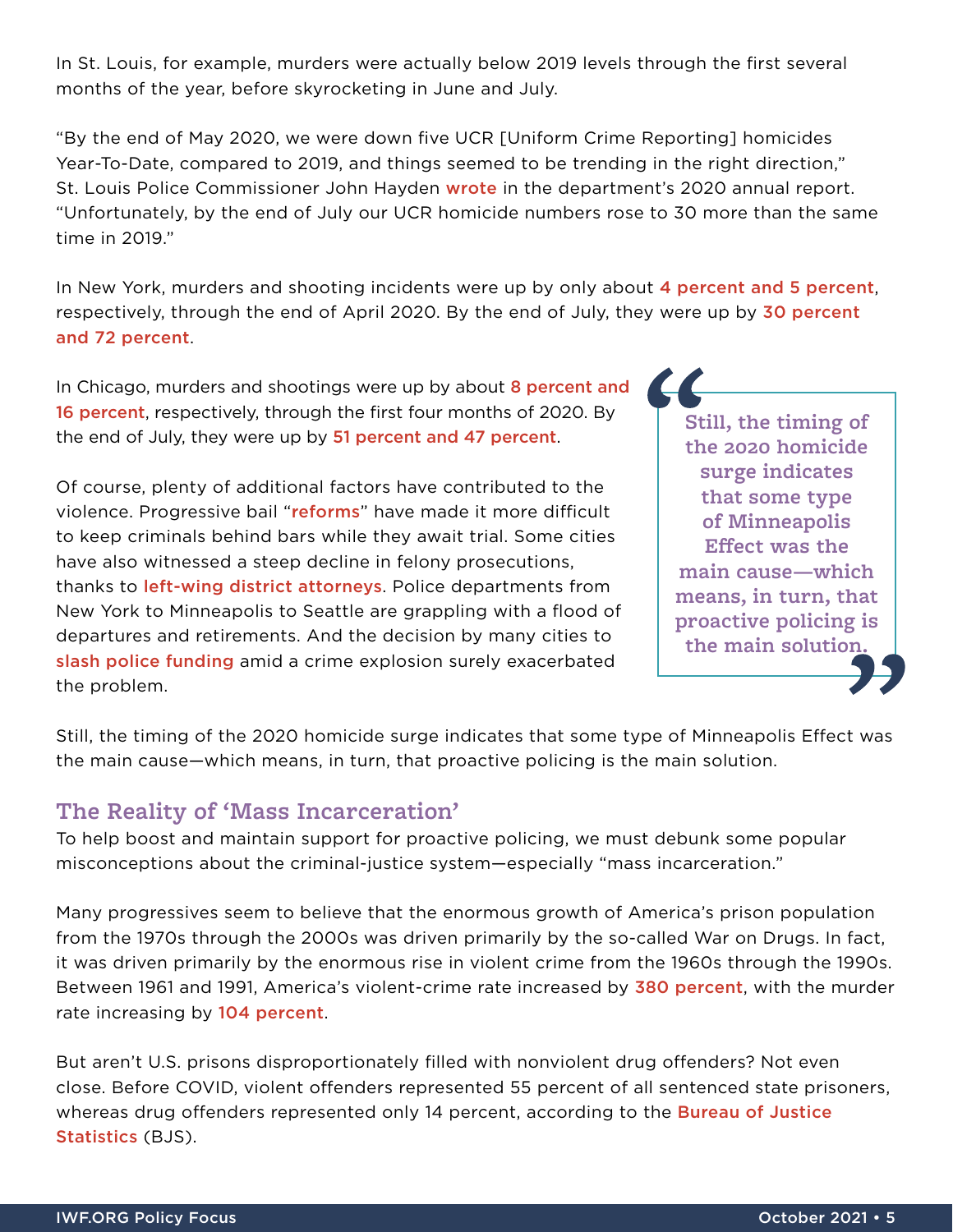In St. Louis, for example, murders were actually below 2019 levels through the first several months of the year, before skyrocketing in June and July.

"By the end of May 2020, we were down five UCR [Uniform Crime Reporting] homicides Year-To-Date, compared to 2019, and things seemed to be trending in the right direction," St. Louis Police Commissioner John Hayden [wrote](https://www.slmpd.org/images/2020_Annual_Report.pdf) in the department's 2020 annual report. "Unfortunately, by the end of July our UCR homicide numbers rose to 30 more than the same time in 2019."

In New York, murders and shooting incidents were up by only about [4 percent and 5](https://www1.nyc.gov/site/nypd/news/p0504a/nypd-citywide-crime-statistics-april-2020) percent, respectively, through the end of April 2020. By the end of July, they were up by 30 percent [and 72](https://www1.nyc.gov/site/nypd/news/p0803a/nypd-citywide-crime-statistics-july-2020) percent.

In Chicago, murders and shootings were up by about 8 percent and [16 p](https://www.nbcchicago.com/news/local/overall-chicago-crime-down-30-in-april-police-say/2264894/)ercent, respectively, through the first four months of 2020. By the end of July, they were up by [51 percent and 47](https://abc7chicago.com/chicago-crime-shootings-weekend-violence-murders/6346844/) percent.

Of course, plenty of additional factors have contributed to the violence. Progressive bail "[reforms](https://nypost.com/2021/04/21/new-yorks-bail-laws-keep-putting-criminals-back-out-on-the-street/)" have made it more difficult to keep criminals behind bars while they await trial. Some cities have also witnessed a steep decline in felony prosecutions, thanks to [left-wing district attorneys](https://www.city-journal.org/larry-krasner-district-attorney-presides-over-philadelphia-homicide-spike). Police departments from New York to Minneapolis to Seattle are grappling with a flood of departures and retirements. And the decision by many cities to [slash police funding](https://www.wsj.com/articles/cities-reverse-defunding-the-police-amid-rising-crime-11622066307) amid a crime explosion surely exacerbated the problem.

**Still, the timing of the 2020 homicide surge indicates that some type of Minneapolis Effect was the main cause—which means, in turn, that proactive policing is the main solution.**

Still, the timing of the 2020 homicide surge indicates that some type of Minneapolis Effect was the main cause—which means, in turn, that proactive policing is the main solution.

#### **The Reality of 'Mass Incarceration'**

To help boost and maintain support for proactive policing, we must debunk some popular misconceptions about the criminal-justice system—especially "mass incarceration."

Many progressives seem to believe that the enormous growth of America's prison population from the 1970s through the 2000s was driven primarily by the so-called War on Drugs. In fact, it was driven primarily by the enormous rise in violent crime from the 1960s through the 1990s. Between 1961 and 1991, America's violent-crime rate increased b[y](https://www.disastercenter.com/crime/uscrime.htm) [380 p](https://www.disastercenter.com/crime/uscrime.htm)ercent, with the murder rate increasing by [104](https://www.disastercenter.com/crime/uscrime.htm) percent.

But aren't U.S. prisons disproportionately filled with nonviolent drug offenders? Not even close. Before COVID, violent offenders represented 55 percent of all sentenced state prisoners, whereas drug offenders represented only 14 percent, according to the **Bureau of Justice** [Statistics](https://bjs.ojp.gov/content/pub/pdf/p19.pdf) (BJS).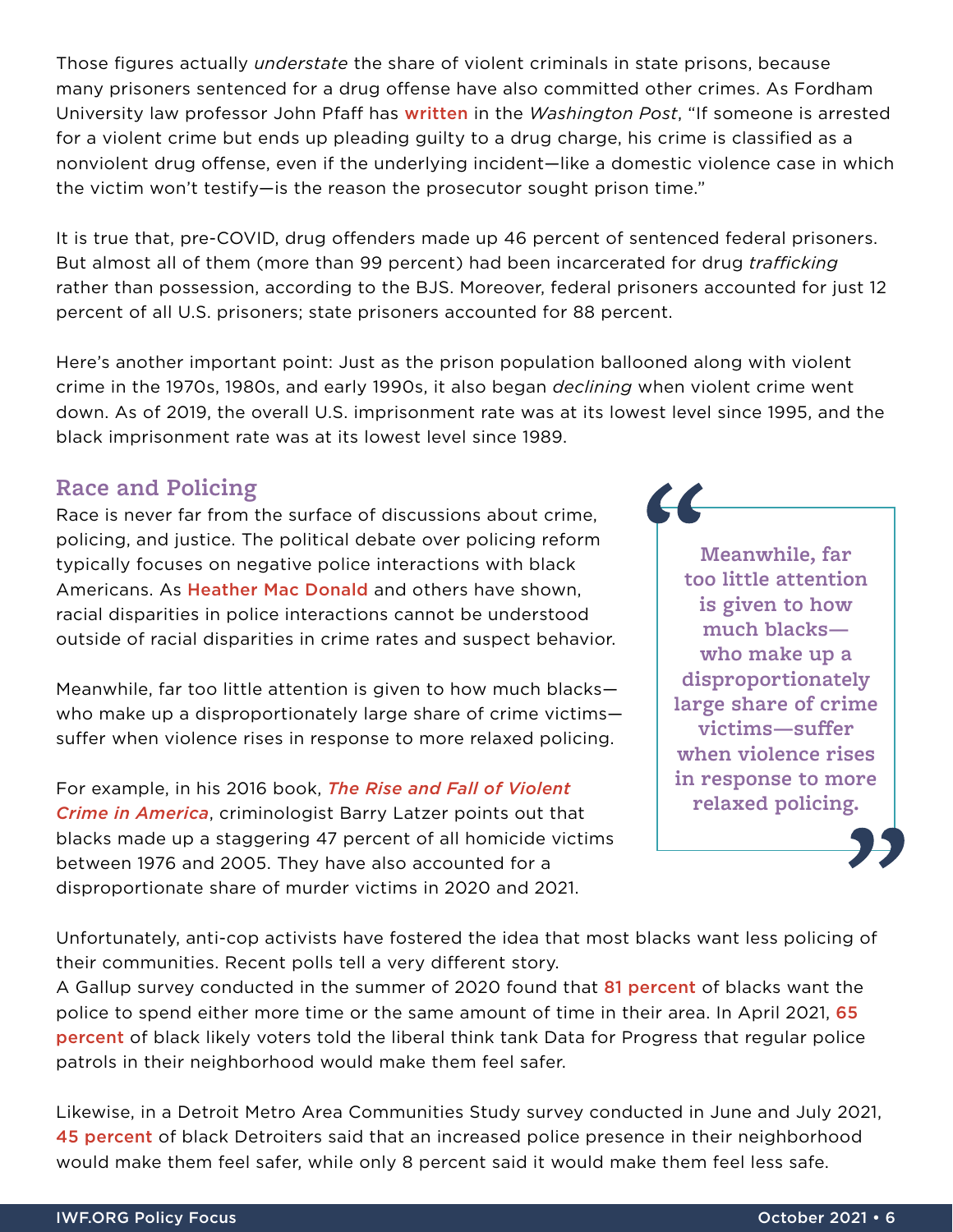Those figures actually *understate* the share of violent criminals in state prisons, because many prisoners sentenced for a drug offense have also committed other crimes. As Fordham University law professor John Pfaff ha[s](https://www.washingtonpost.com/outlook/five-myths/five-myths-about-prisons/2019/05/16/953304ea-7759-11e9-b3f5-5673edf2d127_story.html) [written](https://www.washingtonpost.com/outlook/five-myths/five-myths-about-prisons/2019/05/16/953304ea-7759-11e9-b3f5-5673edf2d127_story.html) in the *Washington Post*, "If someone is arrested for a violent crime but ends up pleading guilty to a drug charge, his crime is classified as a nonviolent drug offense, even if the underlying incident—like a domestic violence case in which the victim won't testify—is the reason the prosecutor sought prison time."

It is true that, pre-COVID, drug offenders made up 46 percent of sentenced federal prisoners. But almost all of them (more than 99 percent) had been incarcerated for drug *trafficking* rather than possession, according to the BJS. Moreover, federal prisoners accounted for just 12 percent of all U.S. prisoners; state prisoners accounted for 88 percent.

Here's another important point: Just as the prison population ballooned along with violent crime in the 1970s, 1980s, and early 1990s, it also began *declining* when violent crime went down. As of 2019, the overall U.S. imprisonment rate was at its lowest level since 1995, and the black imprisonment rate was at its lowest level since 1989.

#### **Race and Policing**

Race is never far from the surface of discussions about crime, policing, and justice. The political debate over policing reform typically focuses on negative police interactions with black Americans. As [Heather Mac Donald](https://www.wsj.com/articles/the-myth-of-systemic-police-racism-11591119883) and others have shown, racial disparities in police interactions cannot be understood outside of racial disparities in crime rates and suspect behavior.

Meanwhile, far too little attention is given to how much blacks who make up a disproportionately large share of crime victims suffer when violence rises in response to more relaxed policing.

For example, in his 2016 book, *[The Rise and Fall of Violent](https://www.amazon.com/Rise-Fall-Violent-Crime-America/dp/159403835X)  [Crime in America](https://www.amazon.com/Rise-Fall-Violent-Crime-America/dp/159403835X)*, criminologist Barry Latzer points out that blacks made up a staggering 47 percent of all homicide victims between 1976 and 2005. They have also accounted for a disproportionate share of murder victims in 2020 and 2021.

**Meanwhile, far too little attention is given to how much blacks who make up a disproportionately large share of crime victims—suffer when violence rises in response to more relaxed policing.** 

 $\boldsymbol{\mathcal{U}}$ 

Unfortunately, anti-cop activists have fostered the idea that most blacks want less policing of their communities. Recent polls tell a very different story.

A Gallup survey conducted in the summer of 2020 found that [81 p](https://news.gallup.com/poll/316571/black-americans-police-retain-local-presence.aspx?utm_source=tagrss&utm_medium=rss&utm_campaign=syndication)ercent of blacks want the police to spend either more time or the same amount of time in their area. In April 2021, [65](https://www.filesforprogress.org/datasets/2021/4/dfp-vox-police-reform.pdf)  percent of black likely voters told the liberal think tank Data for Progress that regular police patrols in their neighborhood would make them feel safer.

Likewise, in a Detroit Metro Area Communities Study survey conducted in June and July 2021, [45](https://detroitsurvey.umich.edu/wp-content/uploads/2021/09/DMACS-Detroiters-views-on-crime-and-policing_2021_09_14-1.pdf) percent of black Detroiters said that an increased police presence in their neighborhood would make them feel safer, while only 8 percent said it would make them feel less safe.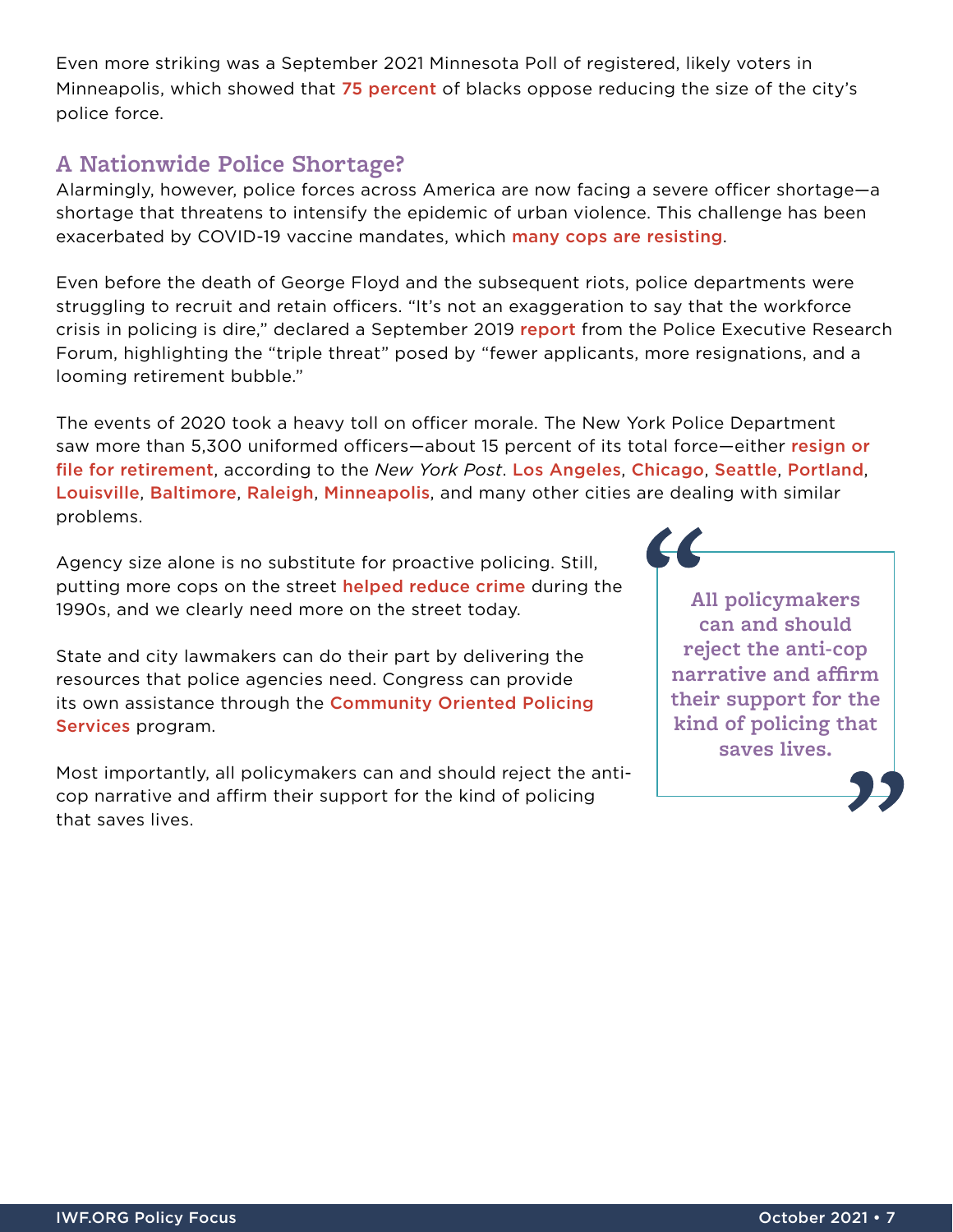Even more striking was a September 2021 Minnesota Poll of registered, likely voters in Minneapolis, which showed that [75 p](https://m.startribune.com/minnesota-poll-most-minneapolis-voters-want-reform-not-fewer-cops/600098569/?refresh=true&clmob=y&c=n)ercent of blacks oppose reducing the size of the city's police force.

#### **A Nationwide Police Shortage?**

Alarmingly, however, police forces across America are now facing a severe officer shortage—a shortage that threatens to intensify the epidemic of urban violence. This challenge has been exacerbated by COVID-19 vaccine mandates, w[h](https://www.npr.org/2021/10/19/1047140849/police-officers-unions-vaccine-mandates-covid-19)ich [many cops are resisting](https://www.npr.org/2021/10/19/1047140849/police-officers-unions-vaccine-mandates-covid-19).

Even before the death of George Floyd and the subsequent riots, police departments were struggling to recruit and retain officers. "It's not an exaggeration to say that the workforce crisis in policing is dire," declared a September 2019 [report](https://www.policeforum.org/assets/WorkforceCrisis.pdf) from the Police Executive Research Forum, highlighting the "triple threat" posed by "fewer applicants, more resignations, and a looming retirement bubble."

The events of 2020 took a heavy toll on officer morale. The New York Police Department saw more than 5,300 uniformed officers—about 15 percent of its total force—either resign or [file for retirement](https://nypost.com/2021/04/24/are-nypd-officers-rushing-to-retire-amid-citys-anti-cop-climate/), a[cc](https://abc11.com/raleigh-vaccine-mandate-first-responder-covid-city-of-freedom-to-choose/11141859/)ording [t](https://minnesotareformer.com/briefs/mpd-overtime-explodes-due-to-staffing-shortage/)o the *New York Post*. [Los Angeles](https://www.dailynews.com/2021/08/20/lapd-is-short-about-300-officers-but-the-chief-plans-to-fill-the-gap/), [Chicago](https://chicago.cbslocal.com/2021/10/11/chicago-police-department-manpower-shortage-burnout-retirements-low-applications/), [Seattle](https://komonews.com/news/local/seattle-polices-response-times-reach-over-60-minutes-as-staffing-shortages-continue), [Portland](https://www.newsweek.com/portland-sets-homicide-record-cops-struggle-budget-cuts-staff-shortage-1640482), [Louisville](https://www.wdrb.com/news/lmpd-no-longer-fully-staffing-most-special-events-amid-officer-shortage/article_895696d8-ebe1-11eb-b3fe-bb28abeef8fb.html), [Baltimore](https://www.baltimoresun.com/news/crime/bs-md-ci-cr-police-staffing-shortage-20210907-rdjc6os46rfadjzukccjy4hxka-story.html), [Raleigh](https://abc11.com/raleigh-vaccine-mandate-first-responder-covid-city-of-freedom-to-choose/11141859/), [Minneapolis](https://minnesotareformer.com/briefs/mpd-overtime-explodes-due-to-staffing-shortage/), and many other cities are dealing with similar problems.

Agency size alone is no substitute for proactive policing. Still, putting more cops on the street [helped reduce crime](https://www.brookings.edu/research/more-cops/) during the 1990s, and we clearly need more on the street today.

State and city lawmakers can do their part by delivering the resources that police agencies need. Congress can provide its own assistance through the Community Oriented Policing [Services](https://www.justice.gov/opa/pr/justice-department-awards-over-33-million-grants-advance-community-policing-efforts-across) program.

Most importantly, all policymakers can and should reject the anticop narrative and affirm their support for the kind of policing that saves lives.

**All policymakers can and should reject the anti-cop narrative and affirm their support for the kind of policing that saves lives.**